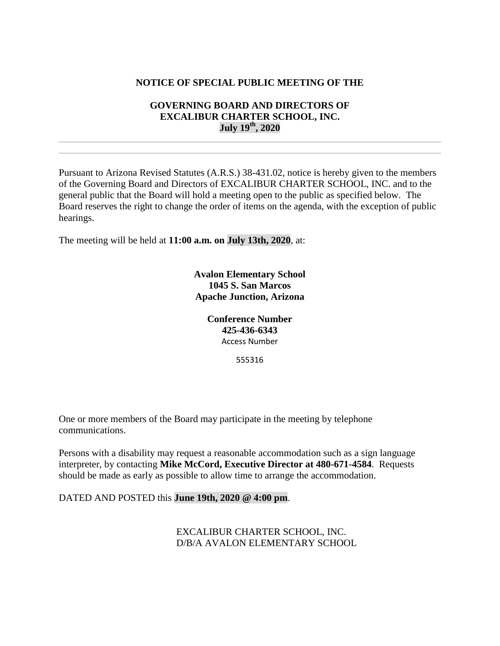### **NOTICE OF SPECIAL PUBLIC MEETING OF THE**

### **GOVERNING BOARD AND DIRECTORS OF EXCALIBUR CHARTER SCHOOL, INC. July 19th, 2020**

Pursuant to Arizona Revised Statutes (A.R.S.) 38-431.02, notice is hereby given to the members of the Governing Board and Directors of EXCALIBUR CHARTER SCHOOL, INC. and to the general public that the Board will hold a meeting open to the public as specified below. The Board reserves the right to change the order of items on the agenda, with the exception of public hearings.

The meeting will be held at **11:00 a.m. on July 13th, 2020**, at:

**Avalon Elementary School 1045 S. San Marcos Apache Junction, Arizona**

> **Conference Number 425-436-6343** Access Number

> > 555316

One or more members of the Board may participate in the meeting by telephone communications.

Persons with a disability may request a reasonable accommodation such as a sign language interpreter, by contacting **Mike McCord, Executive Director at 480-671-4584**. Requests should be made as early as possible to allow time to arrange the accommodation.

DATED AND POSTED this **June 19th, 2020 @ 4:00 pm**.

EXCALIBUR CHARTER SCHOOL, INC. D/B/A AVALON ELEMENTARY SCHOOL